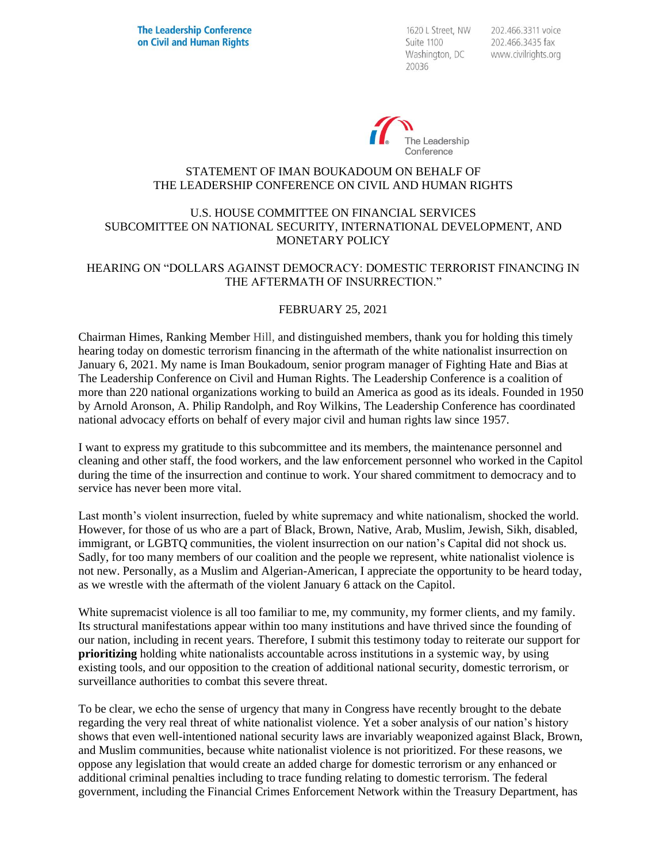1620 L Street, NW Suite 1100 Washington, DC 20036

202.466.3311 voice 202.466.3435 fax www.civilrights.org



### STATEMENT OF IMAN BOUKADOUM ON BEHALF OF THE LEADERSHIP CONFERENCE ON CIVIL AND HUMAN RIGHTS

### U.S. HOUSE COMMITTEE ON FINANCIAL SERVICES SUBCOMITTEE ON NATIONAL SECURITY, INTERNATIONAL DEVELOPMENT, AND MONETARY POLICY

### HEARING ON "DOLLARS AGAINST DEMOCRACY: DOMESTIC TERRORIST FINANCING IN THE AFTERMATH OF INSURRECTION."

#### FEBRUARY 25, 2021

Chairman Himes, Ranking Member Hill, and distinguished members, thank you for holding this timely hearing today on domestic terrorism financing in the aftermath of the white nationalist insurrection on January 6, 2021. My name is Iman Boukadoum, senior program manager of Fighting Hate and Bias at The Leadership Conference on Civil and Human Rights. The Leadership Conference is a coalition of more than 220 national organizations working to build an America as good as its ideals. Founded in 1950 by Arnold Aronson, A. Philip Randolph, and Roy Wilkins, The Leadership Conference has coordinated national advocacy efforts on behalf of every major civil and human rights law since 1957.

I want to express my gratitude to this subcommittee and its members, the maintenance personnel and cleaning and other staff, the food workers, and the law enforcement personnel who worked in the Capitol during the time of the insurrection and continue to work. Your shared commitment to democracy and to service has never been more vital.

Last month's violent insurrection, fueled by white supremacy and white nationalism, shocked the world. However, for those of us who are a part of Black, Brown, Native, Arab, Muslim, Jewish, Sikh, disabled, immigrant, or LGBTQ communities, the violent insurrection on our nation's Capital did not shock us. Sadly, for too many members of our coalition and the people we represent, white nationalist violence is not new. Personally, as a Muslim and Algerian-American, I appreciate the opportunity to be heard today, as we wrestle with the aftermath of the violent January 6 attack on the Capitol.

White supremacist violence is all too familiar to me, my community, my former clients, and my family. Its structural manifestations appear within too many institutions and have thrived since the founding of our nation, including in recent years. Therefore, I submit this testimony today to reiterate our support for **prioritizing** holding white nationalists accountable across institutions in a systemic way, by using existing tools, and our opposition to the creation of additional national security, domestic terrorism, or surveillance authorities to combat this severe threat.

To be clear, we echo the sense of urgency that many in Congress have recently brought to the debate regarding the very real threat of white nationalist violence. Yet a sober analysis of our nation's history shows that even well-intentioned national security laws are invariably weaponized against Black, Brown, and Muslim communities, because white nationalist violence is not prioritized. For these reasons, we oppose any legislation that would create an added charge for domestic terrorism or any enhanced or additional criminal penalties including to trace funding relating to domestic terrorism. The federal government, including the Financial Crimes Enforcement Network within the Treasury Department, has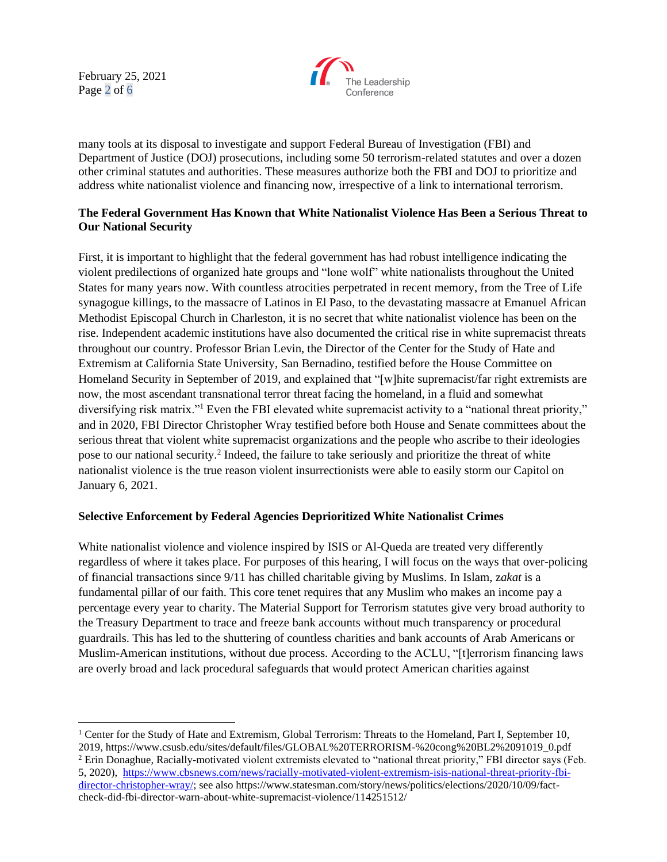February 25, 2021 Page 2 of 6



many tools at its disposal to investigate and support Federal Bureau of Investigation (FBI) and Department of Justice (DOJ) prosecutions, including some 50 terrorism-related statutes and over a dozen other criminal statutes and authorities. These measures authorize both the FBI and DOJ to prioritize and address white nationalist violence and financing now, irrespective of a link to international terrorism.

# **The Federal Government Has Known that White Nationalist Violence Has Been a Serious Threat to Our National Security**

First, it is important to highlight that the federal government has had robust intelligence indicating the violent predilections of organized hate groups and "lone wolf" white nationalists throughout the United States for many years now. With countless atrocities perpetrated in recent memory, from the Tree of Life synagogue killings, to the massacre of Latinos in El Paso, to the devastating massacre at Emanuel African Methodist Episcopal Church in Charleston, it is no secret that white nationalist violence has been on the rise. Independent academic institutions have also documented the critical rise in white supremacist threats throughout our country. Professor Brian Levin, the Director of the Center for the Study of Hate and Extremism at California State University, San Bernadino, testified before the House Committee on Homeland Security in September of 2019, and explained that "[w]hite supremacist/far right extremists are now, the most ascendant transnational terror threat facing the homeland, in a fluid and somewhat diversifying risk matrix."<sup>1</sup> Even the FBI elevated white supremacist activity to a "national threat priority," and in 2020, FBI Director Christopher Wray testified before both House and Senate committees about the serious threat that violent white supremacist organizations and the people who ascribe to their ideologies pose to our national security.<sup>2</sup> Indeed, the failure to take seriously and prioritize the threat of white nationalist violence is the true reason violent insurrectionists were able to easily storm our Capitol on January 6, 2021.

### **Selective Enforcement by Federal Agencies Deprioritized White Nationalist Crimes**

White nationalist violence and violence inspired by ISIS or Al-Queda are treated very differently regardless of where it takes place. For purposes of this hearing, I will focus on the ways that over-policing of financial transactions since 9/11 has chilled charitable giving by Muslims. In Islam, z*akat* is a fundamental pillar of our faith. This core tenet requires that any Muslim who makes an income pay a percentage every year to charity. The Material Support for Terrorism statutes give very broad authority to the Treasury Department to trace and freeze bank accounts without much transparency or procedural guardrails. This has led to the shuttering of countless charities and bank accounts of Arab Americans or Muslim-American institutions, without due process. According to the ACLU, "[t]errorism financing laws are overly broad and lack procedural safeguards that would protect American charities against

<sup>&</sup>lt;sup>1</sup> Center for the Study of Hate and Extremism, Global Terrorism: Threats to the Homeland, Part I, September 10, 2019, https://www.csusb.edu/sites/default/files/GLOBAL%20TERRORISM-%20cong%20BL2%2091019\_0.pdf

<sup>2</sup> Erin Donaghue, Racially-motivated violent extremists elevated to "national threat priority," FBI director says (Feb. 5, 2020), [https://www.cbsnews.com/news/racially-motivated-violent-extremism-isis-national-threat-priority-fbi](https://www.cbsnews.com/news/racially-motivated-violent-extremism-isis-national-threat-priority-fbi-director-christopher-wray/)[director-christopher-wray/;](https://www.cbsnews.com/news/racially-motivated-violent-extremism-isis-national-threat-priority-fbi-director-christopher-wray/) see also https://www.statesman.com/story/news/politics/elections/2020/10/09/factcheck-did-fbi-director-warn-about-white-supremacist-violence/114251512/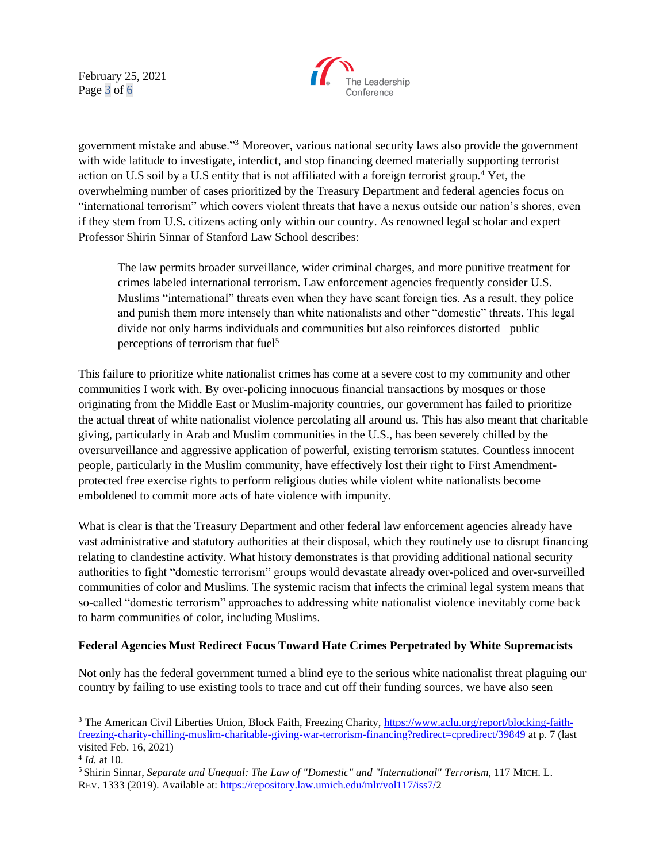February 25, 2021 Page 3 of 6



government mistake and abuse."<sup>3</sup> Moreover, various national security laws also provide the government with wide latitude to investigate, interdict, and stop financing deemed materially supporting terrorist action on U.S soil by a U.S entity that is not affiliated with a foreign terrorist group.<sup>4</sup> Yet, the overwhelming number of cases prioritized by the Treasury Department and federal agencies focus on "international terrorism" which covers violent threats that have a nexus outside our nation's shores, even if they stem from U.S. citizens acting only within our country. As renowned legal scholar and expert Professor Shirin Sinnar of Stanford Law School describes:

The law permits broader surveillance, wider criminal charges, and more punitive treatment for crimes labeled international terrorism. Law enforcement agencies frequently consider U.S. Muslims "international" threats even when they have scant foreign ties. As a result, they police and punish them more intensely than white nationalists and other "domestic" threats. This legal divide not only harms individuals and communities but also reinforces distorted public perceptions of terrorism that fuel<sup>5</sup>

This failure to prioritize white nationalist crimes has come at a severe cost to my community and other communities I work with. By over-policing innocuous financial transactions by mosques or those originating from the Middle East or Muslim-majority countries, our government has failed to prioritize the actual threat of white nationalist violence percolating all around us. This has also meant that charitable giving, particularly in Arab and Muslim communities in the U.S., has been severely chilled by the oversurveillance and aggressive application of powerful, existing terrorism statutes. Countless innocent people, particularly in the Muslim community, have effectively lost their right to First Amendmentprotected free exercise rights to perform religious duties while violent white nationalists become emboldened to commit more acts of hate violence with impunity.

What is clear is that the Treasury Department and other federal law enforcement agencies already have vast administrative and statutory authorities at their disposal, which they routinely use to disrupt financing relating to clandestine activity. What history demonstrates is that providing additional national security authorities to fight "domestic terrorism" groups would devastate already over-policed and over-surveilled communities of color and Muslims. The systemic racism that infects the criminal legal system means that so-called "domestic terrorism" approaches to addressing white nationalist violence inevitably come back to harm communities of color, including Muslims.

### **Federal Agencies Must Redirect Focus Toward Hate Crimes Perpetrated by White Supremacists**

Not only has the federal government turned a blind eye to the serious white nationalist threat plaguing our country by failing to use existing tools to trace and cut off their funding sources, we have also seen

<sup>&</sup>lt;sup>3</sup> The American Civil Liberties Union, Block Faith, Freezing Charity, [https://www.aclu.org/report/blocking-faith](https://www.aclu.org/report/blocking-faith-freezing-charity-chilling-muslim-charitable-giving-war-terrorism-financing?redirect=cpredirect/39849)[freezing-charity-chilling-muslim-charitable-giving-war-terrorism-financing?redirect=cpredirect/39849](https://www.aclu.org/report/blocking-faith-freezing-charity-chilling-muslim-charitable-giving-war-terrorism-financing?redirect=cpredirect/39849) at p. 7 (last visited Feb. 16, 2021)

<sup>4</sup> *Id.* at 10.

<sup>5</sup> Shirin Sinnar, *Separate and Unequal: The Law of "Domestic" and "International" Terrorism*, 117 MICH. L. REV. 1333 (2019). Available at: [https://repository.law.umich.edu/mlr/vol117/iss7/2](https://repository.law.umich.edu/mlr/vol117/iss7/)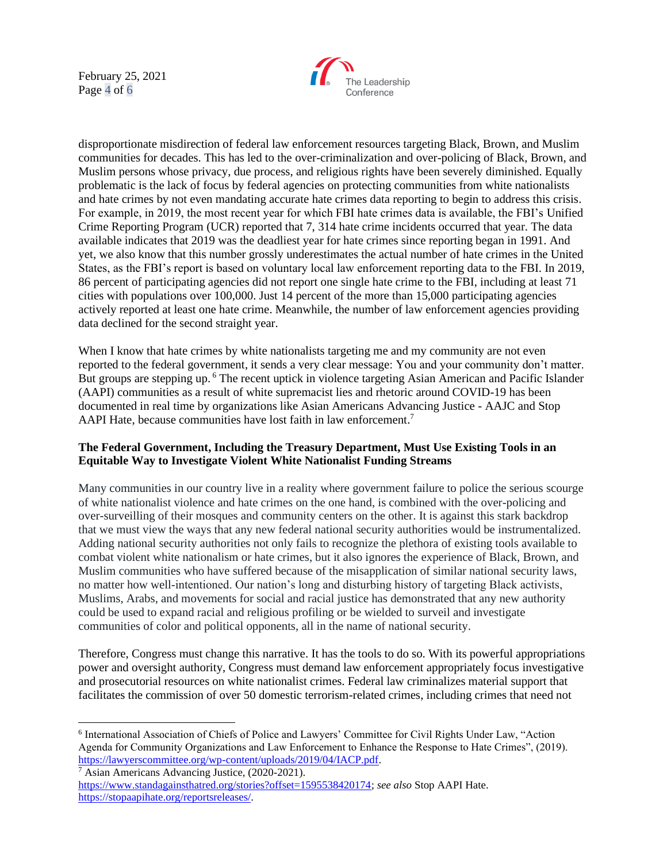February 25, 2021 Page 4 of 6



disproportionate misdirection of federal law enforcement resources targeting Black, Brown, and Muslim communities for decades. This has led to the over-criminalization and over-policing of Black, Brown, and Muslim persons whose privacy, due process, and religious rights have been severely diminished. Equally problematic is the lack of focus by federal agencies on protecting communities from white nationalists and hate crimes by not even mandating accurate hate crimes data reporting to begin to address this crisis. For example, in 2019, the most recent year for which FBI hate crimes data is available, the FBI's Unified Crime Reporting Program (UCR) reported that 7, 314 hate crime incidents occurred that year. The data available indicates that 2019 was the deadliest year for hate crimes since reporting began in 1991. And yet, we also know that this number grossly underestimates the actual number of hate crimes in the United States, as the FBI's report is based on voluntary local law enforcement reporting data to the FBI. In 2019, 86 percent of participating agencies did not report one single hate crime to the FBI, including at least 71 cities with populations over 100,000. Just 14 percent of the more than 15,000 participating agencies actively reported at least one hate crime. Meanwhile, the number of law enforcement agencies providing data declined for the second straight year.

When I know that hate crimes by white nationalists targeting me and my community are not even reported to the federal government, it sends a very clear message: You and your community don't matter. But groups are stepping up. <sup>6</sup> The recent uptick in violence targeting Asian American and Pacific Islander (AAPI) communities as a result of white supremacist lies and rhetoric around COVID-19 has been documented in real time by organizations like Asian Americans Advancing Justice - AAJC and Stop AAPI Hate, because communities have lost faith in law enforcement.<sup>7</sup>

## **The Federal Government, Including the Treasury Department, Must Use Existing Tools in an Equitable Way to Investigate Violent White Nationalist Funding Streams**

Many communities in our country live in a reality where government failure to police the serious scourge of white nationalist violence and hate crimes on the one hand, is combined with the over-policing and over-surveilling of their mosques and community centers on the other. It is against this stark backdrop that we must view the ways that any new federal national security authorities would be instrumentalized. Adding national security authorities not only fails to recognize the plethora of existing tools available to combat violent white nationalism or hate crimes, but it also ignores the experience of Black, Brown, and Muslim communities who have suffered because of the misapplication of similar national security laws, no matter how well-intentioned. Our nation's long and disturbing history of targeting Black activists, Muslims, Arabs, and movements for social and racial justice has demonstrated that any new authority could be used to expand racial and religious profiling or be wielded to surveil and investigate communities of color and political opponents, all in the name of national security.

Therefore, Congress must change this narrative. It has the tools to do so. With its powerful appropriations power and oversight authority, Congress must demand law enforcement appropriately focus investigative and prosecutorial resources on white nationalist crimes. Federal law criminalizes material support that facilitates the commission of over 50 domestic terrorism-related crimes, including crimes that need not

<sup>6</sup> International Association of Chiefs of Police and Lawyers' Committee for Civil Rights Under Law, "Action Agenda for Community Organizations and Law Enforcement to Enhance the Response to Hate Crimes", (2019). [https://lawyerscommittee.org/wp-content/uploads/2019/04/IACP.pdf.](https://lawyerscommittee.org/wp-content/uploads/2019/04/IACP.pdf) <sup>7</sup> Asian Americans Advancing Justice, (2020-2021).

[https://www.standagainsthatred.org/stories?offset=1595538420174;](https://www.standagainsthatred.org/stories?offset=1595538420174) *see also* Stop AAPI Hate. [https://stopaapihate.org/reportsreleases/.](https://stopaapihate.org/reportsreleases/)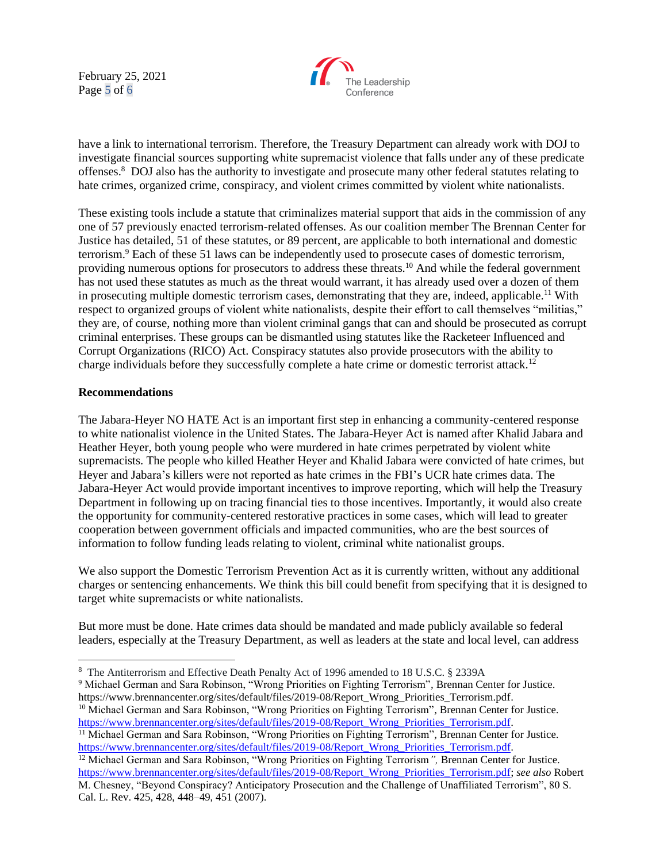February 25, 2021 Page 5 of 6



have a link to international terrorism. Therefore, the Treasury Department can already work with DOJ to investigate financial sources supporting white supremacist violence that falls under any of these predicate offenses.<sup>8</sup> DOJ also has the authority to investigate and prosecute many other federal statutes relating to hate crimes, organized crime, conspiracy, and violent crimes committed by violent white nationalists.

These existing tools include a statute that criminalizes material support that aids in the commission of any one of 57 previously enacted terrorism-related offenses. As our coalition member The Brennan Center for Justice has detailed, 51 of these statutes, or 89 percent, are applicable to both international and domestic terrorism.<sup>9</sup> Each of these 51 laws can be independently used to prosecute cases of domestic terrorism, providing numerous options for prosecutors to address these threats.<sup>10</sup> And while the federal government has not used these statutes as much as the threat would warrant, it has already used over a dozen of them in prosecuting multiple domestic terrorism cases, demonstrating that they are, indeed, applicable.<sup>11</sup> With respect to organized groups of violent white nationalists, despite their effort to call themselves "militias," they are, of course, nothing more than violent criminal gangs that can and should be prosecuted as corrupt criminal enterprises. These groups can be dismantled using statutes like the Racketeer Influenced and Corrupt Organizations (RICO) Act. Conspiracy statutes also provide prosecutors with the ability to charge individuals before they successfully complete a hate crime or domestic terrorist attack.<sup>12</sup>

#### **Recommendations**

The Jabara-Heyer NO HATE Act is an important first step in enhancing a community-centered response to white nationalist violence in the United States. The Jabara-Heyer Act is named after Khalid Jabara and Heather Heyer, both young people who were murdered in hate crimes perpetrated by violent white supremacists. The people who killed Heather Heyer and Khalid Jabara were convicted of hate crimes, but Heyer and Jabara's killers were not reported as hate crimes in the FBI's UCR hate crimes data. The Jabara-Heyer Act would provide important incentives to improve reporting, which will help the Treasury Department in following up on tracing financial ties to those incentives. Importantly, it would also create the opportunity for community-centered restorative practices in some cases, which will lead to greater cooperation between government officials and impacted communities, who are the best sources of information to follow funding leads relating to violent, criminal white nationalist groups.

We also support the Domestic Terrorism Prevention Act as it is currently written, without any additional charges or sentencing enhancements. We think this bill could benefit from specifying that it is designed to target white supremacists or white nationalists.

But more must be done. Hate crimes data should be mandated and made publicly available so federal leaders, especially at the Treasury Department, as well as leaders at the state and local level, can address

<sup>10</sup> Michael German and Sara Robinson, "Wrong Priorities on Fighting Terrorism", Brennan Center for Justice. [https://www.brennancenter.org/sites/default/files/2019-08/Report\\_Wrong\\_Priorities\\_Terrorism.pdf.](https://www.brennancenter.org/sites/default/files/2019-08/Report_Wrong_Priorities_Terrorism.pdf)

<sup>8</sup> The Antiterrorism and Effective Death Penalty Act of 1996 amended to 18 U.S.C. § 2339A

<sup>9</sup> Michael German and Sara Robinson, "Wrong Priorities on Fighting Terrorism"*,* Brennan Center for Justice. [https://www.brennancenter.org/sites/default/files/2019-08/Report\\_Wrong\\_Priorities\\_Terrorism.pdf.](https://www.brennancenter.org/sites/default/files/2019-08/Report_Wrong_Priorities_Terrorism.pdf)

<sup>11</sup> Michael German and Sara Robinson, "Wrong Priorities on Fighting Terrorism"*,* Brennan Center for Justice. [https://www.brennancenter.org/sites/default/files/2019-08/Report\\_Wrong\\_Priorities\\_Terrorism.pdf.](https://www.brennancenter.org/sites/default/files/2019-08/Report_Wrong_Priorities_Terrorism.pdf)

<sup>12</sup> Michael German and Sara Robinson, "Wrong Priorities on Fighting Terrorism*",* Brennan Center for Justice. [https://www.brennancenter.org/sites/default/files/2019-08/Report\\_Wrong\\_Priorities\\_Terrorism.pdf;](https://www.brennancenter.org/sites/default/files/2019-08/Report_Wrong_Priorities_Terrorism.pdf) *see also* Robert M. Chesney, "Beyond Conspiracy? Anticipatory Prosecution and the Challenge of Unaffiliated Terrorism", 80 S. Cal. L. Rev. 425, 428, 448–49, 451 (2007).